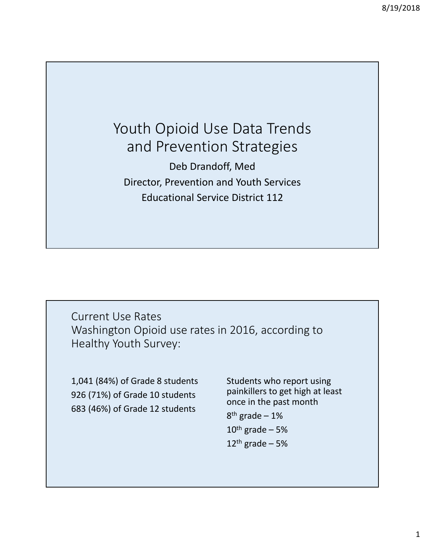## Youth Opioid Use Data Trends and Prevention Strategies Deb Drandoff, Med Director, Prevention and Youth Services

Educational Service District 112

Current Use Rates Washington Opioid use rates in 2016, according to Healthy Youth Survey:

1,041 (84%) of Grade 8 students 926 (71%) of Grade 10 students 683 (46%) of Grade 12 students

Students who report using painkillers to get high at least once in the past month  $8<sup>th</sup>$  grade – 1%  $10^{th}$  grade – 5%

 $12<sup>th</sup>$  grade – 5%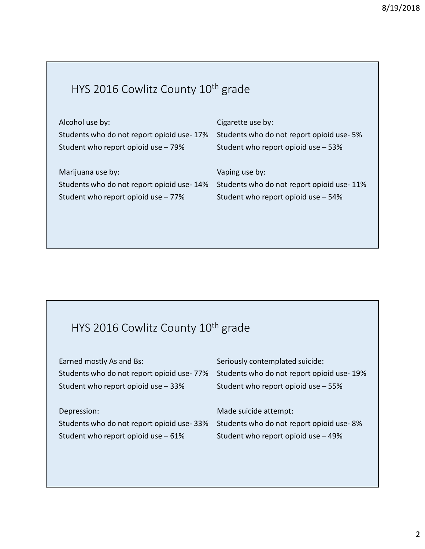## HYS 2016 Cowlitz County 10<sup>th</sup> grade

| Alcohol use by:                           | Cigarette use by:                         |
|-------------------------------------------|-------------------------------------------|
| Students who do not report opioid use-17% | Students who do not report opioid use-5%  |
| Student who report opioid use - 79%       | Student who report opioid use - 53%       |
|                                           |                                           |
| Marijuana use by:                         | Vaping use by:                            |
| Students who do not report opioid use-14% | Students who do not report opioid use-11% |
|                                           |                                           |
| Student who report opioid use - 77%       | Student who report opioid use - 54%       |

## HYS 2016 Cowlitz County 10<sup>th</sup> grade

| Earned mostly As and Bs:                  | Seriously contemplated suicide:           |
|-------------------------------------------|-------------------------------------------|
| Students who do not report opioid use-77% | Students who do not report opioid use-19% |
| Student who report opioid use - 33%       | Student who report opioid use - 55%       |
|                                           |                                           |
|                                           |                                           |
| Depression:                               | Made suicide attempt:                     |
| Students who do not report opioid use-33% | Students who do not report opioid use-8%  |
| Student who report opioid use $-61\%$     | Student who report opioid use - 49%       |